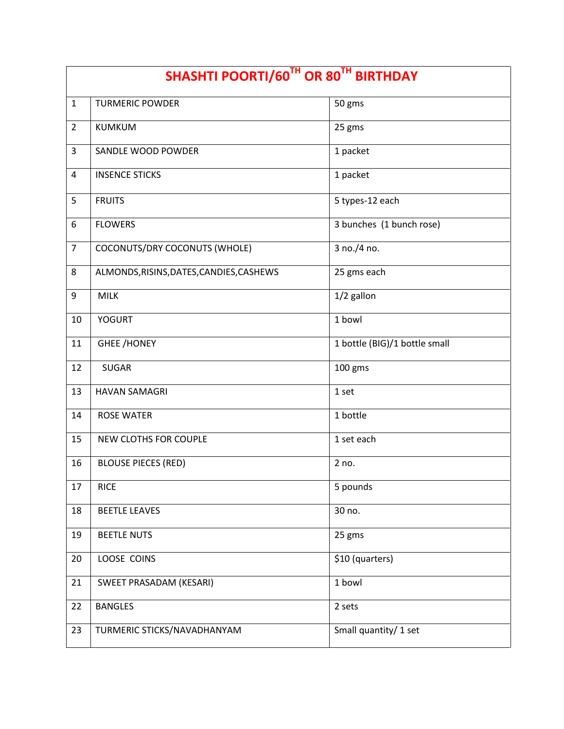| SHASHTI POORTI/60TH OR 80TH BIRTHDAY |                                          |                               |
|--------------------------------------|------------------------------------------|-------------------------------|
| $\mathbf{1}$                         | <b>TURMERIC POWDER</b>                   | 50 gms                        |
| $\overline{2}$                       | <b>KUMKUM</b>                            | 25 gms                        |
| 3                                    | SANDLE WOOD POWDER                       | 1 packet                      |
| 4                                    | <b>INSENCE STICKS</b>                    | 1 packet                      |
| 5                                    | <b>FRUITS</b>                            | 5 types-12 each               |
| 6                                    | <b>FLOWERS</b>                           | 3 bunches (1 bunch rose)      |
| $\overline{7}$                       | COCONUTS/DRY COCONUTS (WHOLE)            | 3 no./4 no.                   |
| 8                                    | ALMONDS, RISINS, DATES, CANDIES, CASHEWS | 25 gms each                   |
| 9                                    | <b>MILK</b>                              | 1/2 gallon                    |
| 10                                   | <b>YOGURT</b>                            | 1 bowl                        |
| 11                                   | <b>GHEE/HONEY</b>                        | 1 bottle (BIG)/1 bottle small |
| 12                                   | <b>SUGAR</b>                             | 100 gms                       |
| 13                                   | <b>HAVAN SAMAGRI</b>                     | 1 set                         |
| 14                                   | <b>ROSE WATER</b>                        | 1 bottle                      |
| 15                                   | NEW CLOTHS FOR COUPLE                    | 1 set each                    |
| 16                                   | <b>BLOUSE PIECES (RED)</b>               | 2 no.                         |
| 17                                   | <b>RICE</b>                              | 5 pounds                      |
| 18                                   | <b>BEETLE LEAVES</b>                     | 30 no.                        |
| 19                                   | <b>BEETLE NUTS</b>                       | 25 gms                        |
| 20                                   | LOOSE COINS                              | \$10 (quarters)               |
| 21                                   | SWEET PRASADAM (KESARI)                  | 1 bowl                        |
| 22                                   | <b>BANGLES</b>                           | 2 sets                        |
| 23                                   | TURMERIC STICKS/NAVADHANYAM              | Small quantity/ 1 set         |